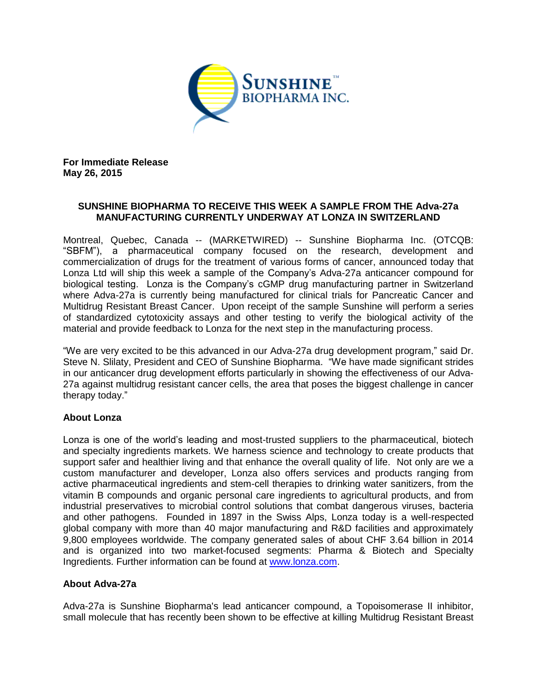

**For Immediate Release May 26, 2015**

# **SUNSHINE BIOPHARMA TO RECEIVE THIS WEEK A SAMPLE FROM THE Adva-27a MANUFACTURING CURRENTLY UNDERWAY AT LONZA IN SWITZERLAND**

Montreal, Quebec, Canada -- (MARKETWIRED) -- Sunshine Biopharma Inc. (OTCQB: "SBFM"), a pharmaceutical company focused on the research, development and commercialization of drugs for the treatment of various forms of cancer, announced today that Lonza Ltd will ship this week a sample of the Company's Adva-27a anticancer compound for biological testing. Lonza is the Company's cGMP drug manufacturing partner in Switzerland where Adva-27a is currently being manufactured for clinical trials for Pancreatic Cancer and Multidrug Resistant Breast Cancer. Upon receipt of the sample Sunshine will perform a series of standardized cytotoxicity assays and other testing to verify the biological activity of the material and provide feedback to Lonza for the next step in the manufacturing process.

"We are very excited to be this advanced in our Adva-27a drug development program," said Dr. Steve N. Slilaty, President and CEO of Sunshine Biopharma. "We have made significant strides in our anticancer drug development efforts particularly in showing the effectiveness of our Adva-27a against multidrug resistant cancer cells, the area that poses the biggest challenge in cancer therapy today."

## **About Lonza**

Lonza is one of the world's leading and most-trusted suppliers to the pharmaceutical, biotech and specialty ingredients markets. We harness science and technology to create products that support safer and healthier living and that enhance the overall quality of life. Not only are we a custom manufacturer and developer, Lonza also offers services and products ranging from active pharmaceutical ingredients and stem-cell therapies to drinking water sanitizers, from the vitamin B compounds and organic personal care ingredients to agricultural products, and from industrial preservatives to microbial control solutions that combat dangerous viruses, bacteria and other pathogens. Founded in 1897 in the Swiss Alps, Lonza today is a well-respected global company with more than 40 major manufacturing and R&D facilities and approximately 9,800 employees worldwide. The company generated sales of about CHF 3.64 billion in 2014 and is organized into two market-focused segments: Pharma & Biotech and Specialty Ingredients. Further information can be found at [www.lonza.com.](http://www.lonza.com/)

## **About Adva-27a**

Adva-27a is Sunshine Biopharma's lead anticancer compound, a Topoisomerase II inhibitor, small molecule that has recently been shown to be effective at killing Multidrug Resistant Breast